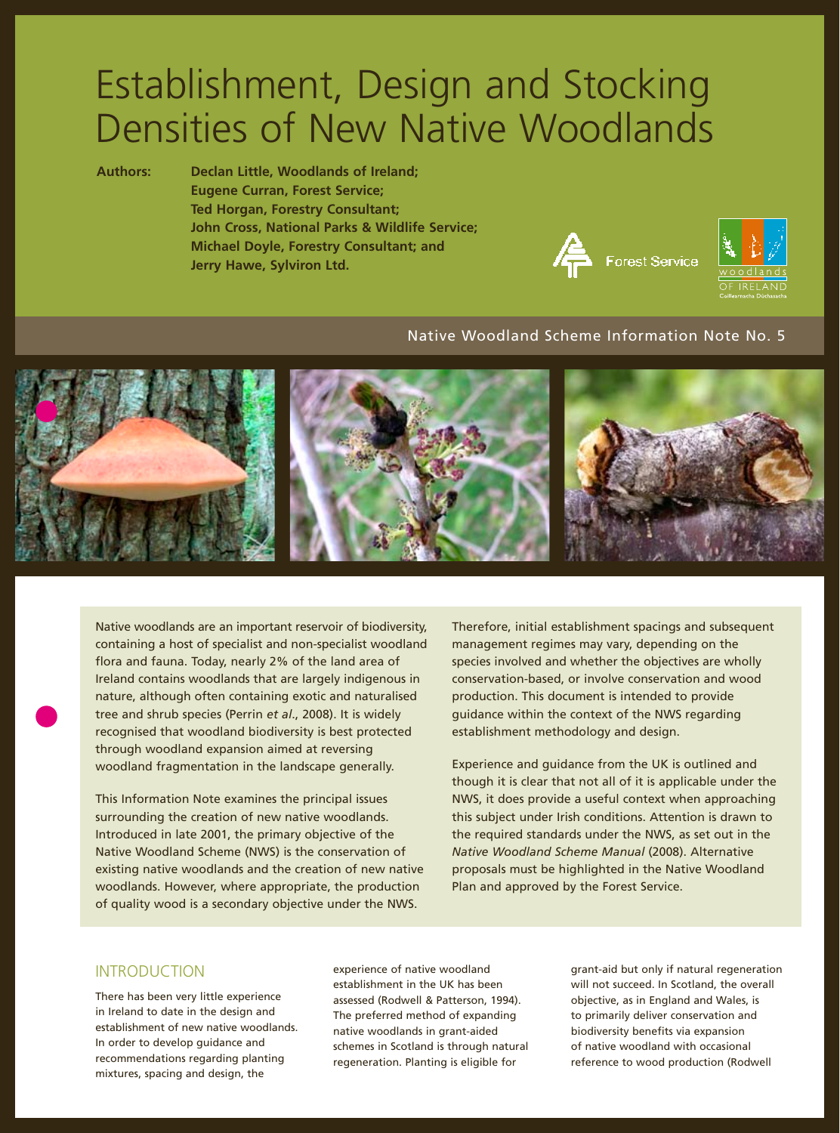# Establishment, Design and Stocking Densities of New Native Woodlands

**Authors: Declan Little, Woodlands of Ireland; Eugene Curran, Forest Service; Ted Horgan, Forestry Consultant; John Cross, National Parks & Wildlife Service; Michael Doyle, Forestry Consultant; and Jerry Hawe, Sylviron Ltd.**





# Native Woodland Scheme Information Note No. 5



Native woodlands are an important reservoir of biodiversity, containing a host of specialist and non-specialist woodland flora and fauna. Today, nearly 2% of the land area of Ireland contains woodlands that are largely indigenous in nature, although often containing exotic and naturalised tree and shrub species (Perrin *et al*., 2008). It is widely recognised that woodland biodiversity is best protected through woodland expansion aimed at reversing woodland fragmentation in the landscape generally.

This Information Note examines the principal issues surrounding the creation of new native woodlands. Introduced in late 2001, the primary objective of the Native Woodland Scheme (NWS) is the conservation of existing native woodlands and the creation of new native woodlands. However, where appropriate, the production of quality wood is a secondary objective under the NWS.

Therefore, initial establishment spacings and subsequent management regimes may vary, depending on the species involved and whether the objectives are wholly conservation-based, or involve conservation and wood production. This document is intended to provide guidance within the context of the NWS regarding establishment methodology and design.

Experience and guidance from the UK is outlined and though it is clear that not all of it is applicable under the NWS, it does provide a useful context when approaching this subject under Irish conditions. Attention is drawn to the required standards under the NWS, as set out in the *Native Woodland Scheme Manual* (2008). Alternative proposals must be highlighted in the Native Woodland Plan and approved by the Forest Service.

# INTRODUCTION

There has been very little experience in Ireland to date in the design and establishment of new native woodlands. In order to develop guidance and recommendations regarding planting mixtures, spacing and design, the

experience of native woodland establishment in the UK has been assessed (Rodwell & Patterson, 1994). The preferred method of expanding native woodlands in grant-aided schemes in Scotland is through natural regeneration. Planting is eligible for

grant-aid but only if natural regeneration will not succeed. In Scotland, the overall objective, as in England and Wales, is to primarily deliver conservation and biodiversity benefits via expansion of native woodland with occasional reference to wood production (Rodwell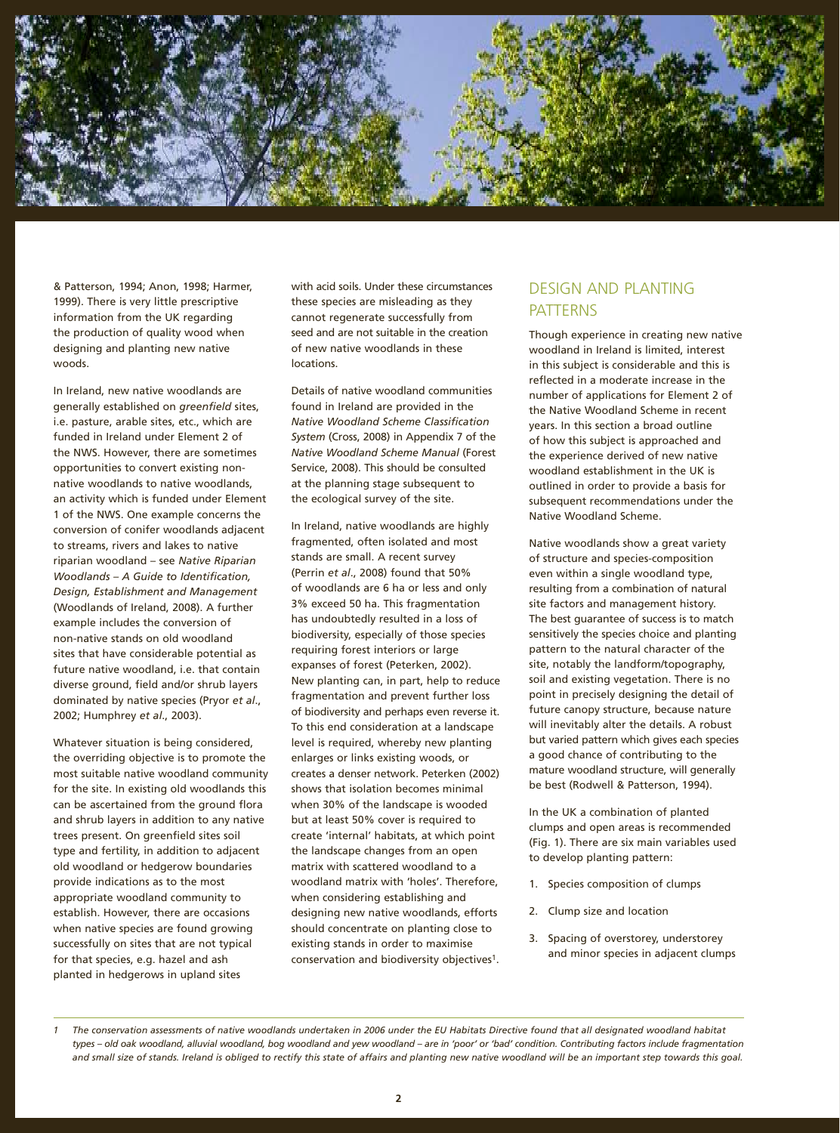

& Patterson, 1994; Anon, 1998; Harmer, 1999). There is very little prescriptive information from the UK regarding the production of quality wood when designing and planting new native woods.

In Ireland, new native woodlands are generally established on *greenfield* sites, i.e. pasture, arable sites, etc., which are funded in Ireland under Element 2 of the NWS. However, there are sometimes opportunities to convert existing nonnative woodlands to native woodlands, an activity which is funded under Element 1 of the NWS. One example concerns the conversion of conifer woodlands adjacent to streams, rivers and lakes to native riparian woodland – see *Native Riparian Woodlands – A Guide to Identification, Design, Establishment and Management*  (Woodlands of Ireland, 2008). A further example includes the conversion of non-native stands on old woodland sites that have considerable potential as future native woodland, i.e. that contain diverse ground, field and/or shrub layers dominated by native species (Pryor *et al*., 2002; Humphrey *et al*., 2003).

Whatever situation is being considered, the overriding objective is to promote the most suitable native woodland community for the site. In existing old woodlands this can be ascertained from the ground flora and shrub layers in addition to any native trees present. On greenfield sites soil type and fertility, in addition to adjacent old woodland or hedgerow boundaries provide indications as to the most appropriate woodland community to establish. However, there are occasions when native species are found growing successfully on sites that are not typical for that species, e.g. hazel and ash planted in hedgerows in upland sites

with acid soils. Under these circumstances these species are misleading as they cannot regenerate successfully from seed and are not suitable in the creation of new native woodlands in these locations.

Details of native woodland communities found in Ireland are provided in the *Native Woodland Scheme Classification System* (Cross, 2008) in Appendix 7 of the *Native Woodland Scheme Manual* (Forest Service, 2008). This should be consulted at the planning stage subsequent to the ecological survey of the site.

In Ireland, native woodlands are highly fragmented, often isolated and most stands are small. A recent survey (Perrin *et al*., 2008) found that 50% of woodlands are 6 ha or less and only 3% exceed 50 ha. This fragmentation has undoubtedly resulted in a loss of biodiversity, especially of those species requiring forest interiors or large expanses of forest (Peterken, 2002). New planting can, in part, help to reduce fragmentation and prevent further loss of biodiversity and perhaps even reverse it. To this end consideration at a landscape level is required, whereby new planting enlarges or links existing woods, or creates a denser network. Peterken (2002) shows that isolation becomes minimal when 30% of the landscape is wooded but at least 50% cover is required to create 'internal' habitats, at which point the landscape changes from an open matrix with scattered woodland to a woodland matrix with 'holes'. Therefore, when considering establishing and designing new native woodlands, efforts should concentrate on planting close to existing stands in order to maximise conservation and biodiversity objectives1.

# DESIGN AND PLANTING PATTERNS

Though experience in creating new native woodland in Ireland is limited, interest in this subject is considerable and this is reflected in a moderate increase in the number of applications for Element 2 of the Native Woodland Scheme in recent years. In this section a broad outline of how this subject is approached and the experience derived of new native woodland establishment in the UK is outlined in order to provide a basis for subsequent recommendations under the Native Woodland Scheme.

Native woodlands show a great variety of structure and species-composition even within a single woodland type, resulting from a combination of natural site factors and management history. The best guarantee of success is to match sensitively the species choice and planting pattern to the natural character of the site, notably the landform/topography, soil and existing vegetation. There is no point in precisely designing the detail of future canopy structure, because nature will inevitably alter the details. A robust but varied pattern which gives each species a good chance of contributing to the mature woodland structure, will generally be best (Rodwell & Patterson, 1994).

In the UK a combination of planted clumps and open areas is recommended (Fig. 1). There are six main variables used to develop planting pattern:

- 1. Species composition of clumps
- 2. Clump size and location
- 3. Spacing of overstorey, understorey and minor species in adjacent clumps

*<sup>1</sup> The conservation assessments of native woodlands undertaken in 2006 under the EU Habitats Directive found that all designated woodland habitat types – old oak woodland, alluvial woodland, bog woodland and yew woodland – are in 'poor' or 'bad' condition. Contributing factors include fragmentation and small size of stands. Ireland is obliged to rectify this state of affairs and planting new native woodland will be an important step towards this goal.*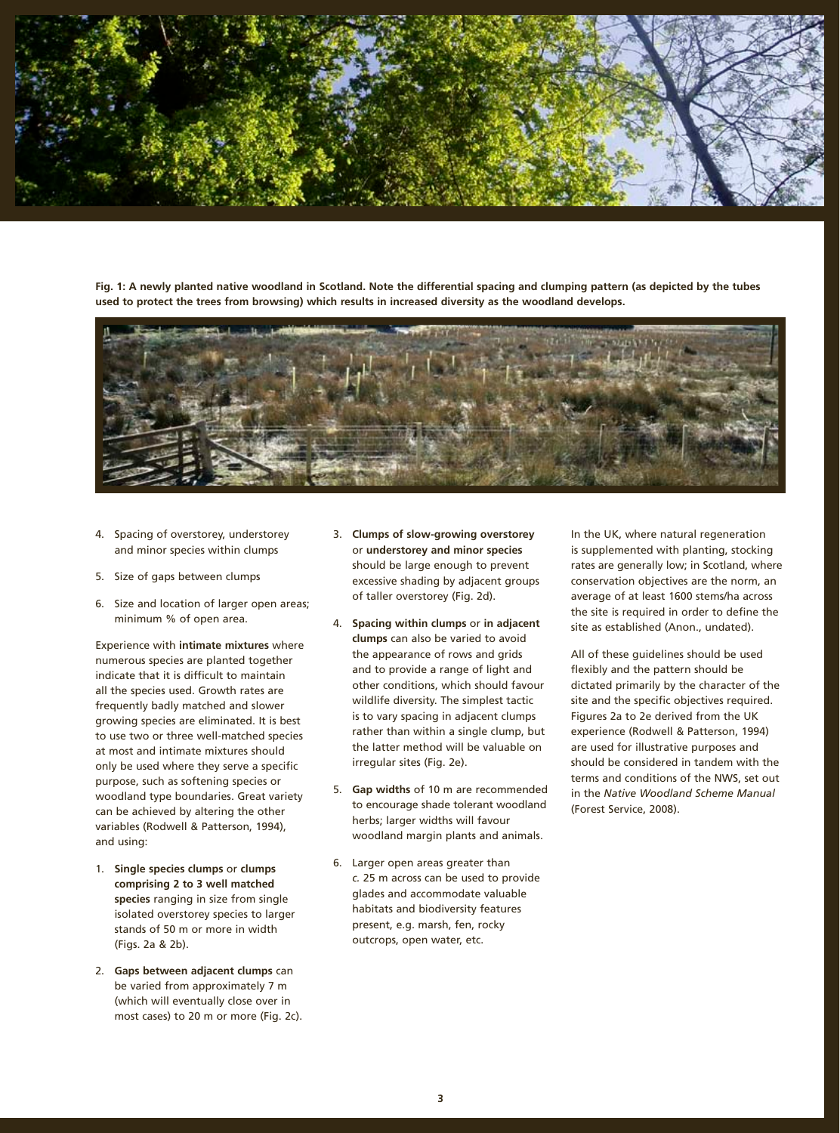

Fig. 1: A newly planted native woodland in Scotland. Note the differential spacing and clumping pattern (as depicted by the tubes **used to protect the trees from browsing) which results in increased diversity as the woodland develops.**



- 4. Spacing of overstorey, understorey and minor species within clumps
- 5. Size of gaps between clumps
- 6. Size and location of larger open areas; minimum % of open area.

Experience with **intimate mixtures** where numerous species are planted together indicate that it is difficult to maintain all the species used. Growth rates are frequently badly matched and slower growing species are eliminated. It is best to use two or three well-matched species at most and intimate mixtures should only be used where they serve a specific purpose, such as softening species or woodland type boundaries. Great variety can be achieved by altering the other variables (Rodwell & Patterson, 1994), and using:

- 1. **Single species clumps** or **clumps comprising 2 to 3 well matched species** ranging in size from single isolated overstorey species to larger stands of 50 m or more in width (Figs. 2a & 2b).
- 2. **Gaps between adjacent clumps** can be varied from approximately 7 m (which will eventually close over in most cases) to 20 m or more (Fig. 2c).
- 3. **Clumps of slow-growing overstorey** or **understorey and minor species** should be large enough to prevent excessive shading by adjacent groups of taller overstorey (Fig. 2d).
- 4. **Spacing within clumps** or **in adjacent clumps** can also be varied to avoid the appearance of rows and grids and to provide a range of light and other conditions, which should favour wildlife diversity. The simplest tactic is to vary spacing in adjacent clumps rather than within a single clump, but the latter method will be valuable on irregular sites (Fig. 2e).
- 5. **Gap widths** of 10 m are recommended to encourage shade tolerant woodland herbs; larger widths will favour woodland margin plants and animals.
- 6. Larger open areas greater than *c.* 25 m across can be used to provide glades and accommodate valuable habitats and biodiversity features present, e.g. marsh, fen, rocky outcrops, open water, etc.

In the UK, where natural regeneration is supplemented with planting, stocking rates are generally low; in Scotland, where conservation objectives are the norm, an average of at least 1600 stems/ha across the site is required in order to define the site as established (Anon., undated).

All of these guidelines should be used flexibly and the pattern should be dictated primarily by the character of the site and the specific objectives required. Figures 2a to 2e derived from the UK experience (Rodwell & Patterson, 1994) are used for illustrative purposes and should be considered in tandem with the terms and conditions of the NWS, set out in the *Native Woodland Scheme Manual*  (Forest Service, 2008).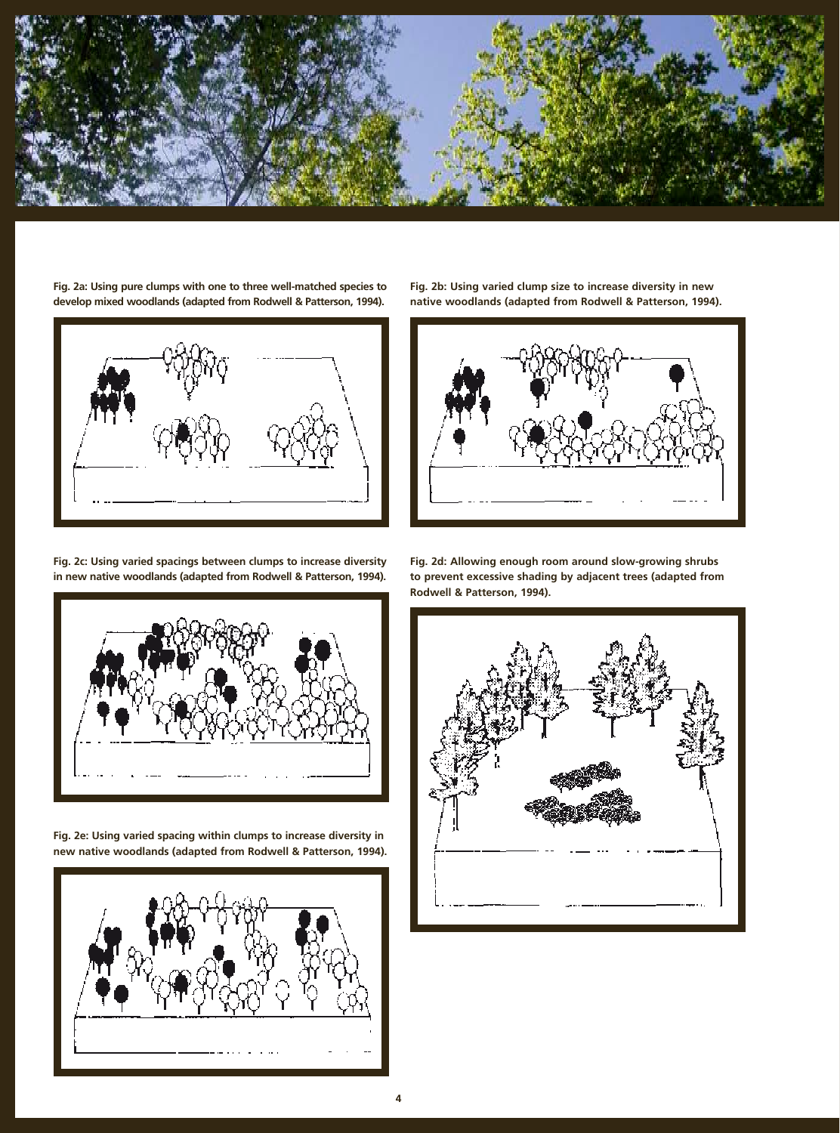

**Fig. 2a: Using pure clumps with one to three well-matched species to develop mixed woodlands (adapted from Rodwell & Patterson, 1994).**



**Fig. 2b: Using varied clump size to increase diversity in new native woodlands (adapted from Rodwell & Patterson, 1994).**



**Fig. 2c: Using varied spacings between clumps to increase diversity in new native woodlands (adapted from Rodwell & Patterson, 1994).**



**Fig. 2e: Using varied spacing within clumps to increase diversity in new native woodlands (adapted from Rodwell & Patterson, 1994).**



**Fig. 2d: Allowing enough room around slow-growing shrubs to prevent excessive shading by adjacent trees (adapted from Rodwell & Patterson, 1994).**

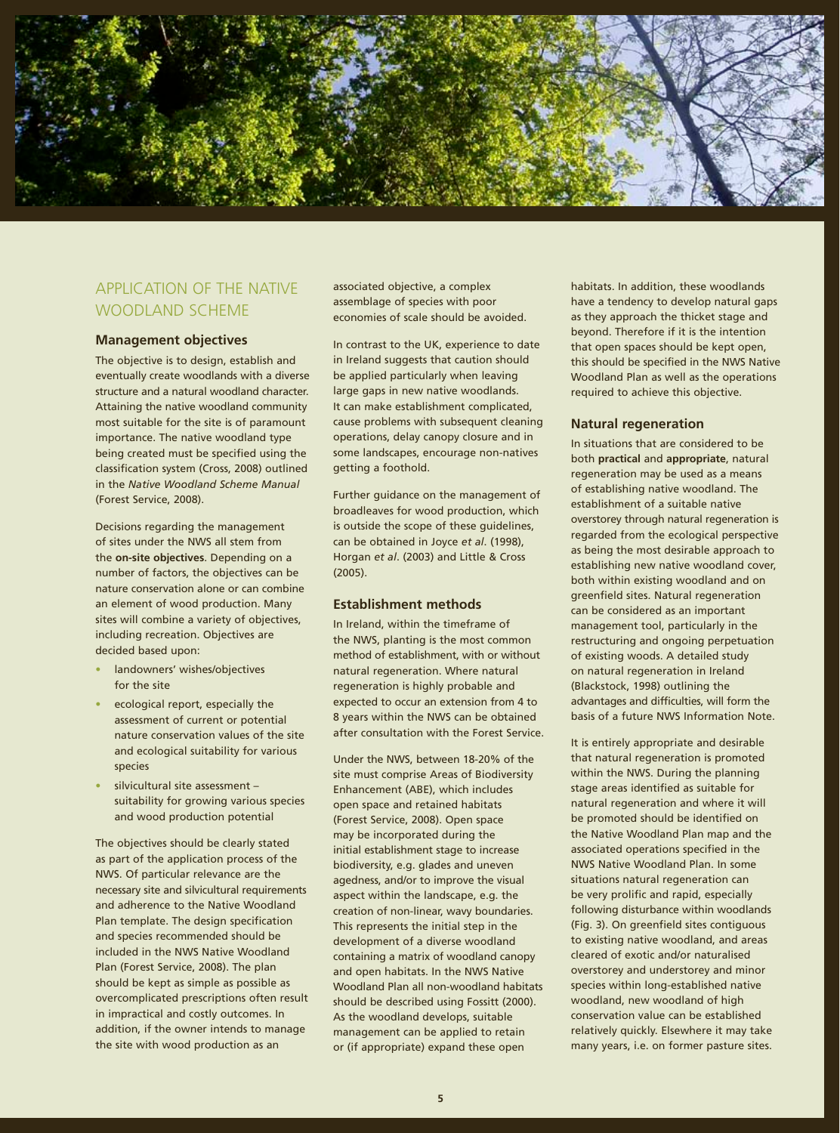

# APPLICATION OF THE NATIVE WOODLAND SCHEME

#### **Management objectives**

The objective is to design, establish and eventually create woodlands with a diverse structure and a natural woodland character. Attaining the native woodland community most suitable for the site is of paramount importance. The native woodland type being created must be specified using the classification system (Cross, 2008) outlined in the *Native Woodland Scheme Manual*  (Forest Service, 2008).

Decisions regarding the management of sites under the NWS all stem from the **on-site objectives**. Depending on a number of factors, the objectives can be nature conservation alone or can combine an element of wood production. Many sites will combine a variety of objectives, including recreation. Objectives are decided based upon:

- **•** landowners' wishes/objectives for the site
- **•** ecological report, especially the assessment of current or potential nature conservation values of the site and ecological suitability for various species
- **•** silvicultural site assessment suitability for growing various species and wood production potential

The objectives should be clearly stated as part of the application process of the NWS. Of particular relevance are the necessary site and silvicultural requirements and adherence to the Native Woodland Plan template. The design specification and species recommended should be included in the NWS Native Woodland Plan (Forest Service, 2008). The plan should be kept as simple as possible as overcomplicated prescriptions often result in impractical and costly outcomes. In addition, if the owner intends to manage the site with wood production as an

associated objective, a complex assemblage of species with poor economies of scale should be avoided.

In contrast to the UK, experience to date in Ireland suggests that caution should be applied particularly when leaving large gaps in new native woodlands. It can make establishment complicated, cause problems with subsequent cleaning operations, delay canopy closure and in some landscapes, encourage non-natives getting a foothold.

Further guidance on the management of broadleaves for wood production, which is outside the scope of these guidelines, can be obtained in Joyce *et al*. (1998), Horgan *et al*. (2003) and Little & Cross (2005).

#### **Establishment methods**

In Ireland, within the timeframe of the NWS, planting is the most common method of establishment, with or without natural regeneration. Where natural regeneration is highly probable and expected to occur an extension from 4 to 8 years within the NWS can be obtained after consultation with the Forest Service.

Under the NWS, between 18-20% of the site must comprise Areas of Biodiversity Enhancement (ABE), which includes open space and retained habitats (Forest Service, 2008). Open space may be incorporated during the initial establishment stage to increase biodiversity, e.g. glades and uneven agedness, and/or to improve the visual aspect within the landscape, e.g. the creation of non-linear, wavy boundaries. This represents the initial step in the development of a diverse woodland containing a matrix of woodland canopy and open habitats. In the NWS Native Woodland Plan all non-woodland habitats should be described using Fossitt (2000). As the woodland develops, suitable management can be applied to retain or (if appropriate) expand these open

habitats. In addition, these woodlands have a tendency to develop natural gaps as they approach the thicket stage and beyond. Therefore if it is the intention that open spaces should be kept open, this should be specified in the NWS Native Woodland Plan as well as the operations required to achieve this objective.

#### **Natural regeneration**

In situations that are considered to be both **practical** and **appropriate**, natural regeneration may be used as a means of establishing native woodland. The establishment of a suitable native overstorey through natural regeneration is regarded from the ecological perspective as being the most desirable approach to establishing new native woodland cover, both within existing woodland and on greenfield sites. Natural regeneration can be considered as an important management tool, particularly in the restructuring and ongoing perpetuation of existing woods. A detailed study on natural regeneration in Ireland (Blackstock, 1998) outlining the advantages and difficulties, will form the basis of a future NWS Information Note.

It is entirely appropriate and desirable that natural regeneration is promoted within the NWS. During the planning stage areas identified as suitable for natural regeneration and where it will be promoted should be identified on the Native Woodland Plan map and the associated operations specified in the NWS Native Woodland Plan. In some situations natural regeneration can be very prolific and rapid, especially following disturbance within woodlands (Fig. 3). On greenfield sites contiguous to existing native woodland, and areas cleared of exotic and/or naturalised overstorey and understorey and minor species within long-established native woodland, new woodland of high conservation value can be established relatively quickly. Elsewhere it may take many years, i.e. on former pasture sites.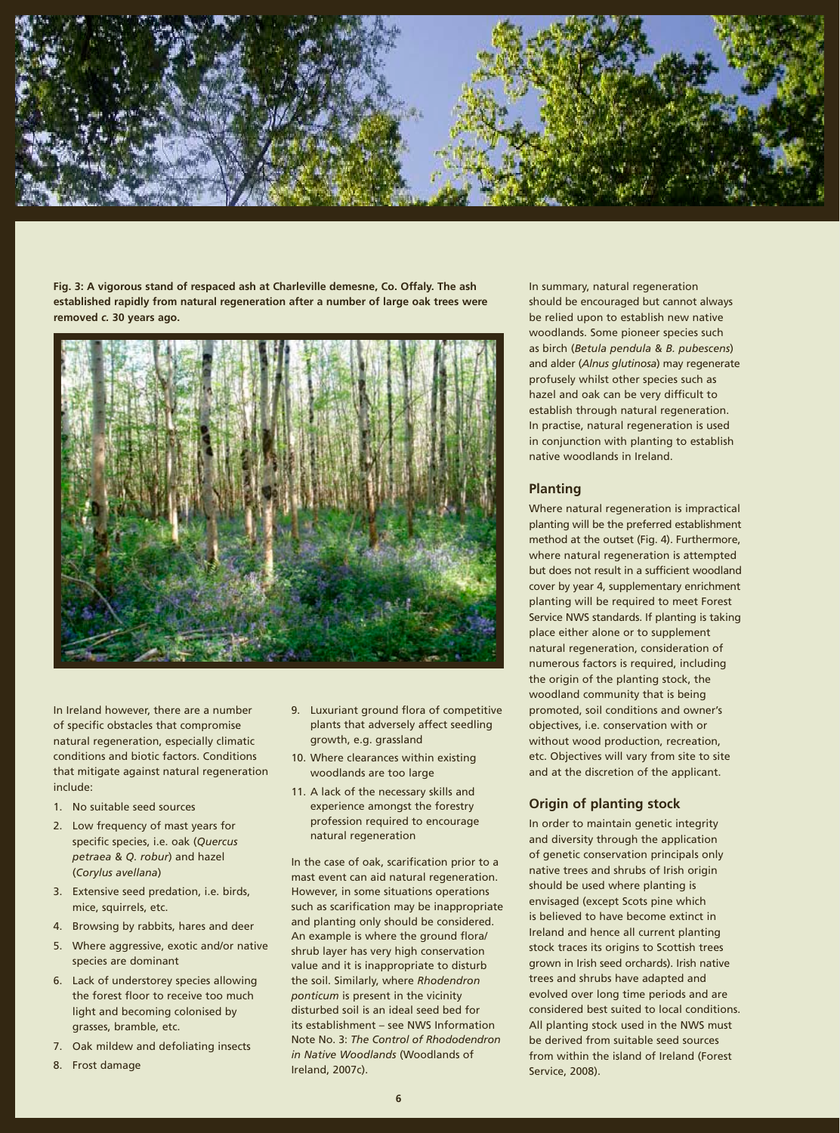

**Fig. 3: A vigorous stand of respaced ash at Charleville demesne, Co. Offaly. The ash established rapidly from natural regeneration after a number of large oak trees were removed** *c.* **30 years ago.**



In Ireland however, there are a number of specific obstacles that compromise natural regeneration, especially climatic conditions and biotic factors. Conditions that mitigate against natural regeneration include:

- 1. No suitable seed sources
- 2. Low frequency of mast years for specific species, i.e. oak (*Quercus petraea* & *Q. robur*) and hazel (*Corylus avellana*)
- 3. Extensive seed predation, i.e. birds, mice, squirrels, etc.
- 4. Browsing by rabbits, hares and deer
- 5. Where aggressive, exotic and/or native species are dominant
- 6. Lack of understorey species allowing the forest floor to receive too much light and becoming colonised by grasses, bramble, etc.
- 7. Oak mildew and defoliating insects
- 8. Frost damage
- 9. Luxuriant ground flora of competitive plants that adversely affect seedling growth, e.g. grassland
- 10. Where clearances within existing woodlands are too large
- 11. A lack of the necessary skills and experience amongst the forestry profession required to encourage natural regeneration

In the case of oak, scarification prior to a mast event can aid natural regeneration. However, in some situations operations such as scarification may be inappropriate and planting only should be considered. An example is where the ground flora/ shrub layer has very high conservation value and it is inappropriate to disturb the soil. Similarly, where *Rhodendron ponticum* is present in the vicinity disturbed soil is an ideal seed bed for its establishment – see NWS Information Note No. 3: *The Control of Rhododendron in Native Woodlands* (Woodlands of Ireland, 2007c).

In summary, natural regeneration should be encouraged but cannot always be relied upon to establish new native woodlands. Some pioneer species such as birch (*Betula pendula* & *B. pubescens*) and alder (*Alnus glutinosa*) may regenerate profusely whilst other species such as hazel and oak can be very difficult to establish through natural regeneration. In practise, natural regeneration is used in conjunction with planting to establish native woodlands in Ireland.

#### **Planting**

Where natural regeneration is impractical planting will be the preferred establishment method at the outset (Fig. 4). Furthermore, where natural regeneration is attempted but does not result in a sufficient woodland cover by year 4, supplementary enrichment planting will be required to meet Forest Service NWS standards. If planting is taking place either alone or to supplement natural regeneration, consideration of numerous factors is required, including the origin of the planting stock, the woodland community that is being promoted, soil conditions and owner's objectives, i.e. conservation with or without wood production, recreation, etc. Objectives will vary from site to site and at the discretion of the applicant.

#### **Origin of planting stock**

In order to maintain genetic integrity and diversity through the application of genetic conservation principals only native trees and shrubs of Irish origin should be used where planting is envisaged (except Scots pine which is believed to have become extinct in Ireland and hence all current planting stock traces its origins to Scottish trees grown in Irish seed orchards). Irish native trees and shrubs have adapted and evolved over long time periods and are considered best suited to local conditions. All planting stock used in the NWS must be derived from suitable seed sources from within the island of Ireland (Forest Service, 2008).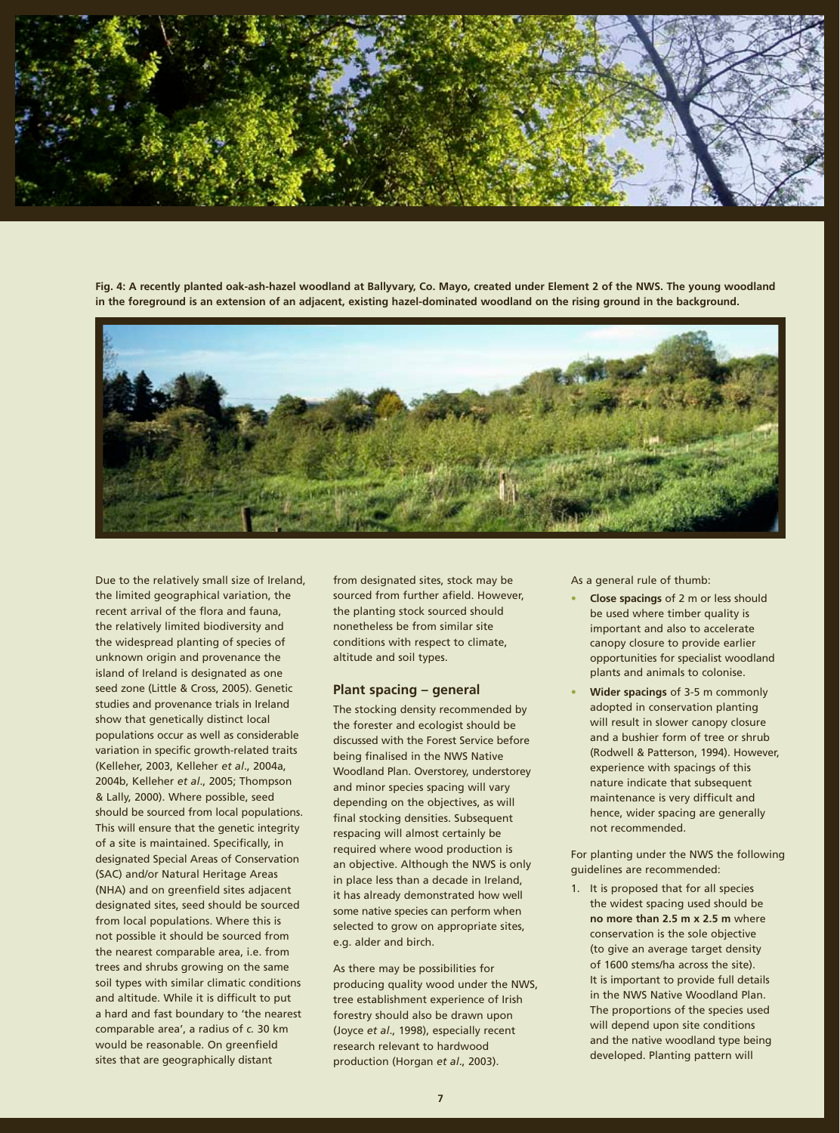

Fig. 4: A recently planted oak-ash-hazel woodland at Ballyvary, Co. Mayo, created under Element 2 of the NWS. The young woodland in the foreground is an extension of an adjacent, existing hazel-dominated woodland on the rising ground in the background.



Due to the relatively small size of Ireland, the limited geographical variation, the recent arrival of the flora and fauna, the relatively limited biodiversity and the widespread planting of species of unknown origin and provenance the island of Ireland is designated as one seed zone (Little & Cross, 2005). Genetic studies and provenance trials in Ireland show that genetically distinct local populations occur as well as considerable variation in specific growth-related traits (Kelleher, 2003, Kelleher *et al*., 2004a, 2004b, Kelleher *et al*., 2005; Thompson & Lally, 2000). Where possible, seed should be sourced from local populations. This will ensure that the genetic integrity of a site is maintained. Specifically, in designated Special Areas of Conservation (SAC) and/or Natural Heritage Areas (NHA) and on greenfield sites adjacent designated sites, seed should be sourced from local populations. Where this is not possible it should be sourced from the nearest comparable area, i.e. from trees and shrubs growing on the same soil types with similar climatic conditions and altitude. While it is difficult to put a hard and fast boundary to 'the nearest comparable area', a radius of *c.* 30 km would be reasonable. On greenfield sites that are geographically distant

from designated sites, stock may be sourced from further afield. However, the planting stock sourced should nonetheless be from similar site conditions with respect to climate, altitude and soil types.

#### **Plant spacing – general**

The stocking density recommended by the forester and ecologist should be discussed with the Forest Service before being finalised in the NWS Native Woodland Plan. Overstorey, understorey and minor species spacing will vary depending on the objectives, as will final stocking densities. Subsequent respacing will almost certainly be required where wood production is an objective. Although the NWS is only in place less than a decade in Ireland, it has already demonstrated how well some native species can perform when selected to grow on appropriate sites, e.g. alder and birch.

As there may be possibilities for producing quality wood under the NWS, tree establishment experience of Irish forestry should also be drawn upon (Joyce *et al*., 1998), especially recent research relevant to hardwood production (Horgan *et al*., 2003).

As a general rule of thumb:

- **• Close spacings** of 2 m or less should be used where timber quality is important and also to accelerate canopy closure to provide earlier opportunities for specialist woodland plants and animals to colonise.
- **• Wider spacings** of 3-5 m commonly adopted in conservation planting will result in slower canopy closure and a bushier form of tree or shrub (Rodwell & Patterson, 1994). However, experience with spacings of this nature indicate that subsequent maintenance is very difficult and hence, wider spacing are generally not recommended.

For planting under the NWS the following guidelines are recommended:

1. It is proposed that for all species the widest spacing used should be **no more than 2.5 m x 2.5 m** where conservation is the sole objective (to give an average target density of 1600 stems/ha across the site). It is important to provide full details in the NWS Native Woodland Plan. The proportions of the species used will depend upon site conditions and the native woodland type being developed. Planting pattern will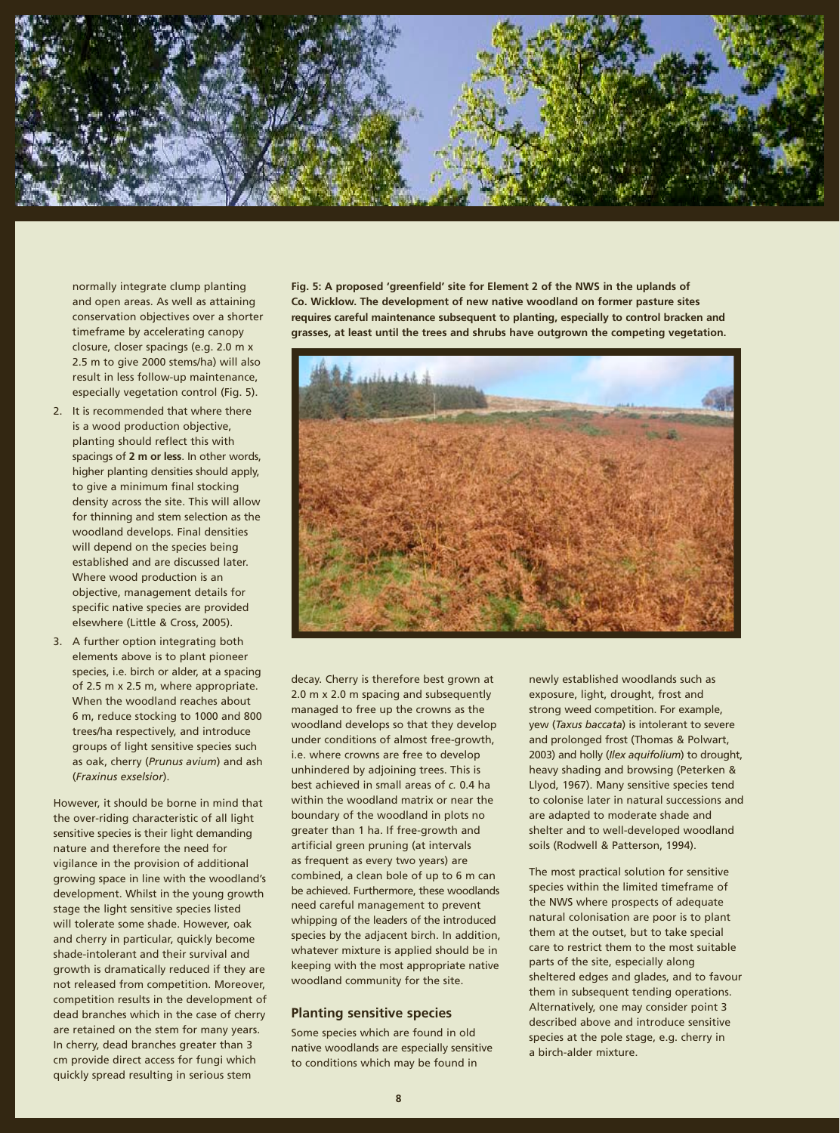

normally integrate clump planting and open areas. As well as attaining conservation objectives over a shorter timeframe by accelerating canopy closure, closer spacings (e.g. 2.0 m x 2.5 m to give 2000 stems/ha) will also result in less follow-up maintenance, especially vegetation control (Fig. 5).

- 2. It is recommended that where there is a wood production objective, planting should reflect this with spacings of **2 m or less**. In other words, higher planting densities should apply, to give a minimum final stocking density across the site. This will allow for thinning and stem selection as the woodland develops. Final densities will depend on the species being established and are discussed later. Where wood production is an objective, management details for specific native species are provided elsewhere (Little & Cross, 2005).
- 3. A further option integrating both elements above is to plant pioneer species, i.e. birch or alder, at a spacing of 2.5 m x 2.5 m, where appropriate. When the woodland reaches about 6 m, reduce stocking to 1000 and 800 trees/ha respectively, and introduce groups of light sensitive species such as oak, cherry (*Prunus avium*) and ash (*Fraxinus exselsior*).

However, it should be borne in mind that the over-riding characteristic of all light sensitive species is their light demanding nature and therefore the need for vigilance in the provision of additional growing space in line with the woodland's development. Whilst in the young growth stage the light sensitive species listed will tolerate some shade. However, oak and cherry in particular, quickly become shade-intolerant and their survival and growth is dramatically reduced if they are not released from competition. Moreover, competition results in the development of dead branches which in the case of cherry are retained on the stem for many years. In cherry, dead branches greater than 3 cm provide direct access for fungi which quickly spread resulting in serious stem

**Fig. 5: A proposed 'greenfield' site for Element 2 of the NWS in the uplands of Co. Wicklow. The development of new native woodland on former pasture sites requires careful maintenance subsequent to planting, especially to control bracken and grasses, at least until the trees and shrubs have outgrown the competing vegetation.**



decay. Cherry is therefore best grown at 2.0 m x 2.0 m spacing and subsequently managed to free up the crowns as the woodland develops so that they develop under conditions of almost free-growth, i.e. where crowns are free to develop unhindered by adjoining trees. This is best achieved in small areas of *c.* 0.4 ha within the woodland matrix or near the boundary of the woodland in plots no greater than 1 ha. If free-growth and artificial green pruning (at intervals as frequent as every two years) are combined, a clean bole of up to 6 m can be achieved. Furthermore, these woodlands need careful management to prevent whipping of the leaders of the introduced species by the adjacent birch. In addition, whatever mixture is applied should be in keeping with the most appropriate native woodland community for the site.

#### **Planting sensitive species**

Some species which are found in old native woodlands are especially sensitive to conditions which may be found in

newly established woodlands such as exposure, light, drought, frost and strong weed competition. For example, yew (*Taxus baccata*) is intolerant to severe and prolonged frost (Thomas & Polwart, 2003) and holly (*Ilex aquifolium*) to drought, heavy shading and browsing (Peterken & Llyod, 1967). Many sensitive species tend to colonise later in natural successions and are adapted to moderate shade and shelter and to well-developed woodland soils (Rodwell & Patterson, 1994).

The most practical solution for sensitive species within the limited timeframe of the NWS where prospects of adequate natural colonisation are poor is to plant them at the outset, but to take special care to restrict them to the most suitable parts of the site, especially along sheltered edges and glades, and to favour them in subsequent tending operations. Alternatively, one may consider point 3 described above and introduce sensitive species at the pole stage, e.g. cherry in a birch-alder mixture.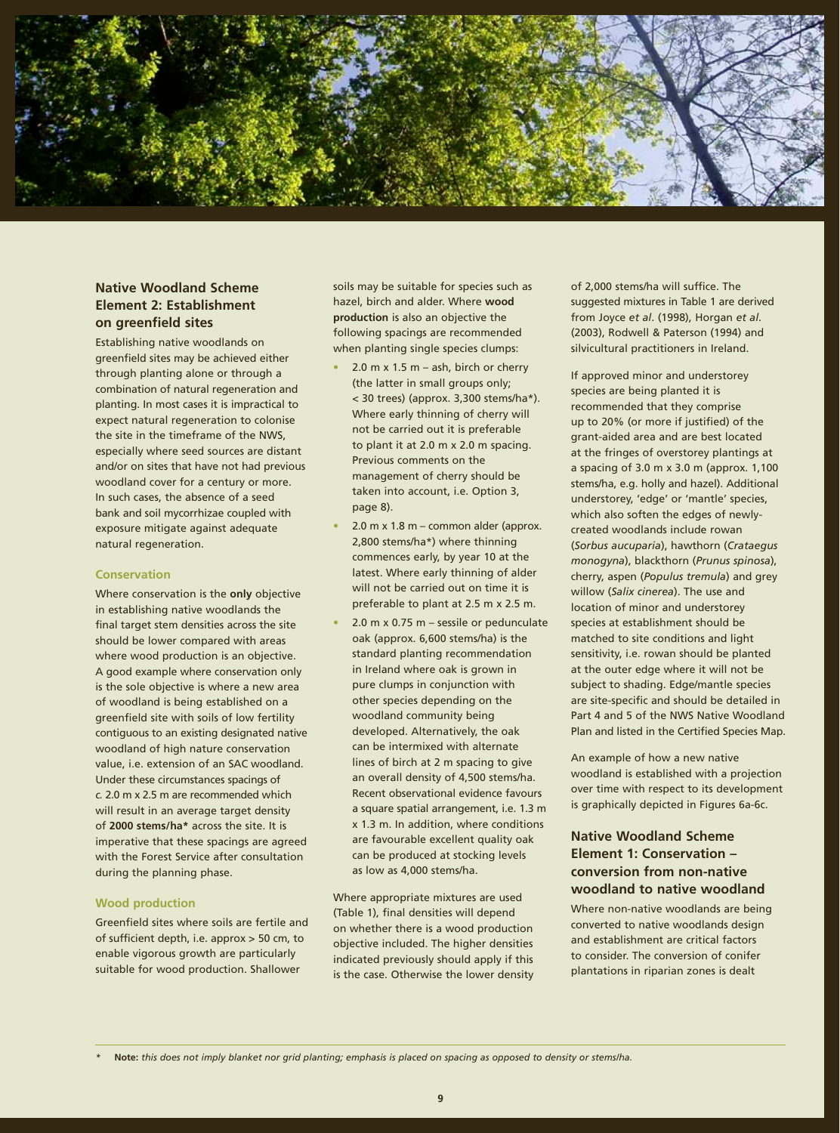

# **Native Woodland Scheme Element 2: Establishment on greenfield sites**

Establishing native woodlands on greenfield sites may be achieved either through planting alone or through a combination of natural regeneration and planting. In most cases it is impractical to expect natural regeneration to colonise the site in the timeframe of the NWS, especially where seed sources are distant and/or on sites that have not had previous woodland cover for a century or more. In such cases, the absence of a seed bank and soil mycorrhizae coupled with exposure mitigate against adequate natural regeneration.

#### **Conservation**

Where conservation is the **only** objective in establishing native woodlands the final target stem densities across the site should be lower compared with areas where wood production is an objective. A good example where conservation only is the sole objective is where a new area of woodland is being established on a greenfield site with soils of low fertility contiguous to an existing designated native woodland of high nature conservation value, i.e. extension of an SAC woodland. Under these circumstances spacings of *c.* 2.0 m x 2.5 m are recommended which will result in an average target density of **2000 stems/ha\*** across the site. It is imperative that these spacings are agreed with the Forest Service after consultation during the planning phase.

#### **Wood production**

Greenfield sites where soils are fertile and of sufficient depth, i.e. approx > 50 cm, to enable vigorous growth are particularly suitable for wood production. Shallower

soils may be suitable for species such as hazel, birch and alder. Where **wood production** is also an objective the following spacings are recommended when planting single species clumps:

- **•** 2.0 m x 1.5 m ash, birch or cherry (the latter in small groups only; < 30 trees) (approx. 3,300 stems/ha\*). Where early thinning of cherry will not be carried out it is preferable to plant it at 2.0 m x 2.0 m spacing. Previous comments on the management of cherry should be taken into account, i.e. Option 3, page 8).
- **•** 2.0 m x 1.8 m common alder (approx. 2,800 stems/ha\*) where thinning commences early, by year 10 at the latest. Where early thinning of alder will not be carried out on time it is preferable to plant at 2.5 m x 2.5 m.
- **•** 2.0 m x 0.75 m sessile or pedunculate oak (approx. 6,600 stems/ha) is the standard planting recommendation in Ireland where oak is grown in pure clumps in conjunction with other species depending on the woodland community being developed. Alternatively, the oak can be intermixed with alternate lines of birch at 2 m spacing to give an overall density of 4,500 stems/ha. Recent observational evidence favours a square spatial arrangement, i.e. 1.3 m x 1.3 m. In addition, where conditions are favourable excellent quality oak can be produced at stocking levels as low as 4,000 stems/ha.

Where appropriate mixtures are used (Table 1), final densities will depend on whether there is a wood production objective included. The higher densities indicated previously should apply if this is the case. Otherwise the lower density of 2,000 stems/ha will suffice. The suggested mixtures in Table 1 are derived from Joyce *et al*. (1998), Horgan *et al*. (2003), Rodwell & Paterson (1994) and silvicultural practitioners in Ireland.

If approved minor and understorey species are being planted it is recommended that they comprise up to 20% (or more if justified) of the grant-aided area and are best located at the fringes of overstorey plantings at a spacing of 3.0 m x 3.0 m (approx. 1,100 stems/ha, e.g. holly and hazel). Additional understorey, 'edge' or 'mantle' species, which also soften the edges of newlycreated woodlands include rowan (*Sorbus aucuparia*), hawthorn (*Crataegus monogyna*), blackthorn (*Prunus spinosa*), cherry, aspen (*Populus tremula*) and grey willow (*Salix cinerea*). The use and location of minor and understorey species at establishment should be matched to site conditions and light sensitivity, i.e. rowan should be planted at the outer edge where it will not be subject to shading. Edge/mantle species are site-specific and should be detailed in Part 4 and 5 of the NWS Native Woodland Plan and listed in the Certified Species Map.

An example of how a new native woodland is established with a projection over time with respect to its development is graphically depicted in Figures 6a-6c.

# **Native Woodland Scheme Element 1: Conservation – conversion from non-native woodland to native woodland**

Where non-native woodlands are being converted to native woodlands design and establishment are critical factors to consider. The conversion of conifer plantations in riparian zones is dealt

*<sup>\*</sup>* **Note:** *this does not imply blanket nor grid planting; emphasis is placed on spacing as opposed to density or stems/ha.*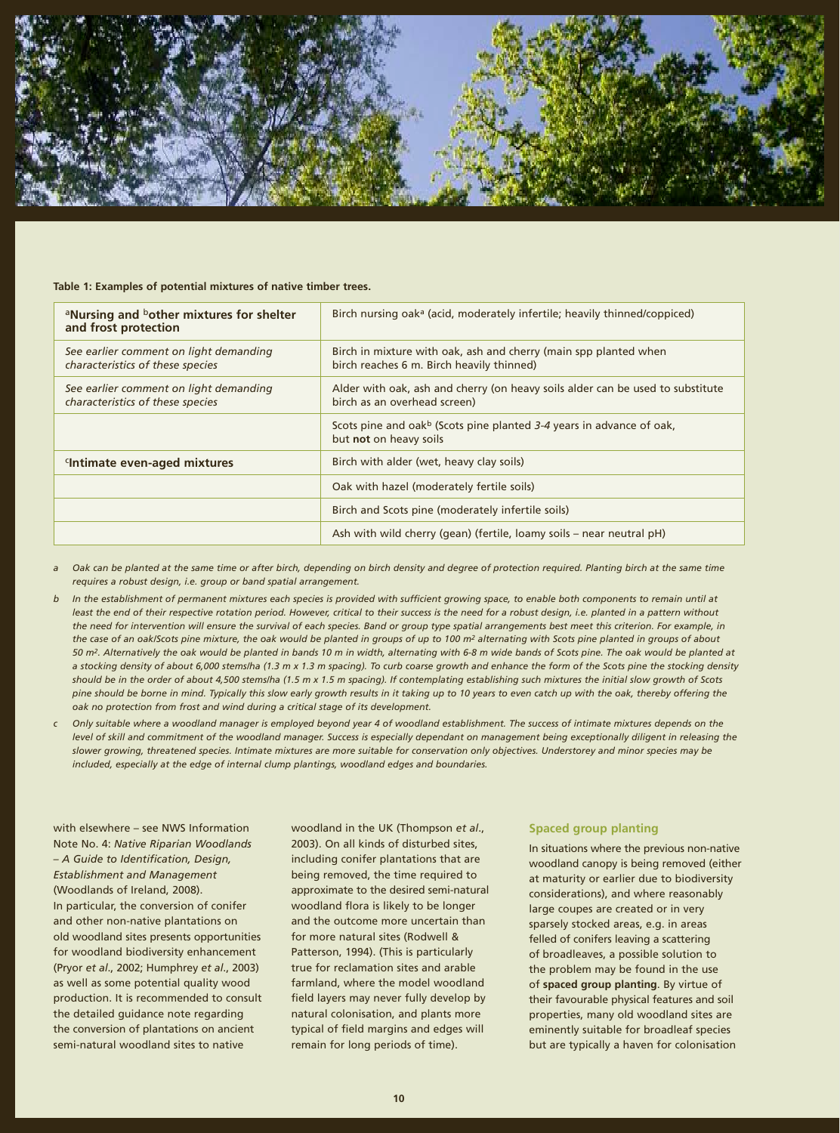

#### **Table 1: Examples of potential mixtures of native timber trees.**

| <sup>a</sup> Nursing and <sup>b</sup> other mixtures for shelter<br>and frost protection | Birch nursing oak <sup>a</sup> (acid, moderately infertile; heavily thinned/coppiced)                          |
|------------------------------------------------------------------------------------------|----------------------------------------------------------------------------------------------------------------|
| See earlier comment on light demanding<br>characteristics of these species               | Birch in mixture with oak, ash and cherry (main spp planted when<br>birch reaches 6 m. Birch heavily thinned)  |
| See earlier comment on light demanding<br>characteristics of these species               | Alder with oak, ash and cherry (on heavy soils alder can be used to substitute<br>birch as an overhead screen) |
|                                                                                          | Scots pine and oak <sup>b</sup> (Scots pine planted 3-4 years in advance of oak,<br>but not on heavy soils     |
| Intimate even-aged mixtures                                                              | Birch with alder (wet, heavy clay soils)                                                                       |
|                                                                                          | Oak with hazel (moderately fertile soils)                                                                      |
|                                                                                          | Birch and Scots pine (moderately infertile soils)                                                              |
|                                                                                          | Ash with wild cherry (gean) (fertile, loamy soils – near neutral pH)                                           |
|                                                                                          |                                                                                                                |

- *a Oak can be planted at the same time or after birch, depending on birch density and degree of protection required. Planting birch at the same time requires a robust design, i.e. group or band spatial arrangement.*
- *b In the establishment of permanent mixtures each species is provided with sufficient growing space, to enable both components to remain until at*  least the end of their respective rotation period. However, critical to their success is the need for a robust design, i.e. planted in a pattern without *the need for intervention will ensure the survival of each species. Band or group type spatial arrangements best meet this criterion. For example, in the case of an oak/Scots pine mixture, the oak would be planted in groups of up to 100 m2 alternating with Scots pine planted in groups of about 50 m2. Alternatively the oak would be planted in bands 10 m in width, alternating with 6-8 m wide bands of Scots pine. The oak would be planted at a stocking density of about 6,000 stems/ha (1.3 m x 1.3 m spacing). To curb coarse growth and enhance the form of the Scots pine the stocking density should be in the order of about 4,500 stems/ha (1.5 m x 1.5 m spacing). If contemplating establishing such mixtures the initial slow growth of Scots pine should be borne in mind. Typically this slow early growth results in it taking up to 10 years to even catch up with the oak, thereby offering the oak no protection from frost and wind during a critical stage of its development.*
- *c Only suitable where a woodland manager is employed beyond year 4 of woodland establishment. The success of intimate mixtures depends on the*  level of skill and commitment of the woodland manager. Success is especially dependant on management being exceptionally diligent in releasing the *slower growing, threatened species. Intimate mixtures are more suitable for conservation only objectives. Understorey and minor species may be included, especially at the edge of internal clump plantings, woodland edges and boundaries.*

with elsewhere – see NWS Information Note No. 4: *Native Riparian Woodlands – A Guide to Identification, Design, Establishment and Management*  (Woodlands of Ireland, 2008). In particular, the conversion of conifer and other non-native plantations on old woodland sites presents opportunities for woodland biodiversity enhancement (Pryor *et al*., 2002; Humphrey *et al*., 2003) as well as some potential quality wood production. It is recommended to consult the detailed guidance note regarding the conversion of plantations on ancient semi-natural woodland sites to native

woodland in the UK (Thompson *et al*., 2003). On all kinds of disturbed sites, including conifer plantations that are being removed, the time required to approximate to the desired semi-natural woodland flora is likely to be longer and the outcome more uncertain than for more natural sites (Rodwell & Patterson, 1994). (This is particularly true for reclamation sites and arable farmland, where the model woodland field layers may never fully develop by natural colonisation, and plants more typical of field margins and edges will remain for long periods of time).

#### **Spaced group planting**

In situations where the previous non-native woodland canopy is being removed (either at maturity or earlier due to biodiversity considerations), and where reasonably large coupes are created or in very sparsely stocked areas, e.g. in areas felled of conifers leaving a scattering of broadleaves, a possible solution to the problem may be found in the use of **spaced group planting**. By virtue of their favourable physical features and soil properties, many old woodland sites are eminently suitable for broadleaf species but are typically a haven for colonisation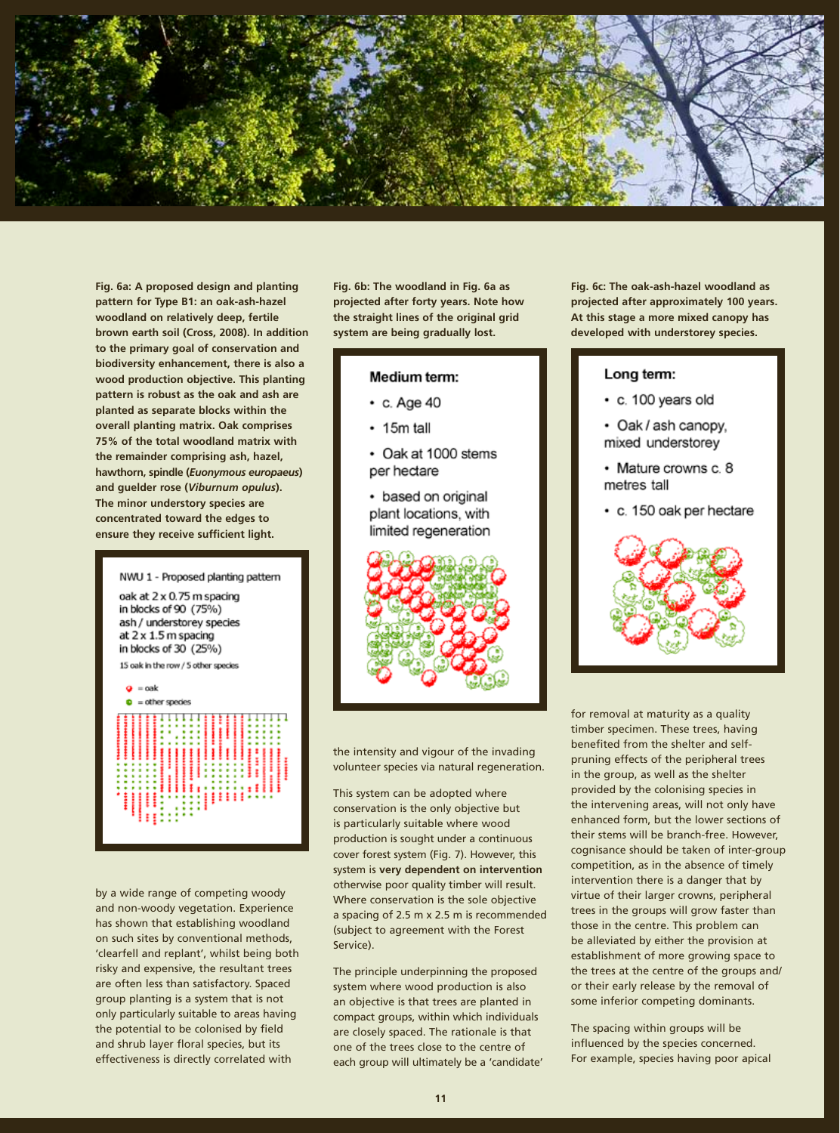

**Fig. 6a: A proposed design and planting pattern for Type B1: an oak-ash-hazel woodland on relatively deep, fertile brown earth soil (Cross, 2008). In addition to the primary goal of conservation and biodiversity enhancement, there is also a wood production objective. This planting pattern is robust as the oak and ash are planted as separate blocks within the overall planting matrix. Oak comprises 75% of the total woodland matrix with the remainder comprising ash, hazel, hawthorn, spindle (***Euonymous europaeus***) and guelder rose (***Viburnum opulus***). The minor understory species are concentrated toward the edges to ensure they receive sufficient light.**



by a wide range of competing woody and non-woody vegetation. Experience has shown that establishing woodland on such sites by conventional methods, 'clearfell and replant', whilst being both risky and expensive, the resultant trees are often less than satisfactory. Spaced group planting is a system that is not only particularly suitable to areas having the potential to be colonised by field and shrub layer floral species, but its effectiveness is directly correlated with

**Fig. 6b: The woodland in Fig. 6a as projected after forty years. Note how the straight lines of the original grid system are being gradually lost.**

### Medium term:

- $\cdot$  c. Age 40
- $\cdot$  15m tall
- Oak at 1000 stems per hectare
- based on original plant locations, with limited regeneration



the intensity and vigour of the invading volunteer species via natural regeneration.

This system can be adopted where conservation is the only objective but is particularly suitable where wood production is sought under a continuous cover forest system (Fig. 7). However, this system is **very dependent on intervention** otherwise poor quality timber will result. Where conservation is the sole objective a spacing of 2.5 m x 2.5 m is recommended (subject to agreement with the Forest Service).

The principle underpinning the proposed system where wood production is also an objective is that trees are planted in compact groups, within which individuals are closely spaced. The rationale is that one of the trees close to the centre of each group will ultimately be a 'candidate' **Fig. 6c: The oak-ash-hazel woodland as projected after approximately 100 years. At this stage a more mixed canopy has developed with understorey species.**

#### Long term:

- c. 100 years old
- Oak / ash canopy, mixed understorey
- Mature crowns c. 8 metres tall
- c. 150 oak per hectare



for removal at maturity as a quality timber specimen. These trees, having benefited from the shelter and selfpruning effects of the peripheral trees in the group, as well as the shelter provided by the colonising species in the intervening areas, will not only have enhanced form, but the lower sections of their stems will be branch-free. However, cognisance should be taken of inter-group competition, as in the absence of timely intervention there is a danger that by virtue of their larger crowns, peripheral trees in the groups will grow faster than those in the centre. This problem can be alleviated by either the provision at establishment of more growing space to the trees at the centre of the groups and/ or their early release by the removal of some inferior competing dominants.

The spacing within groups will be influenced by the species concerned. For example, species having poor apical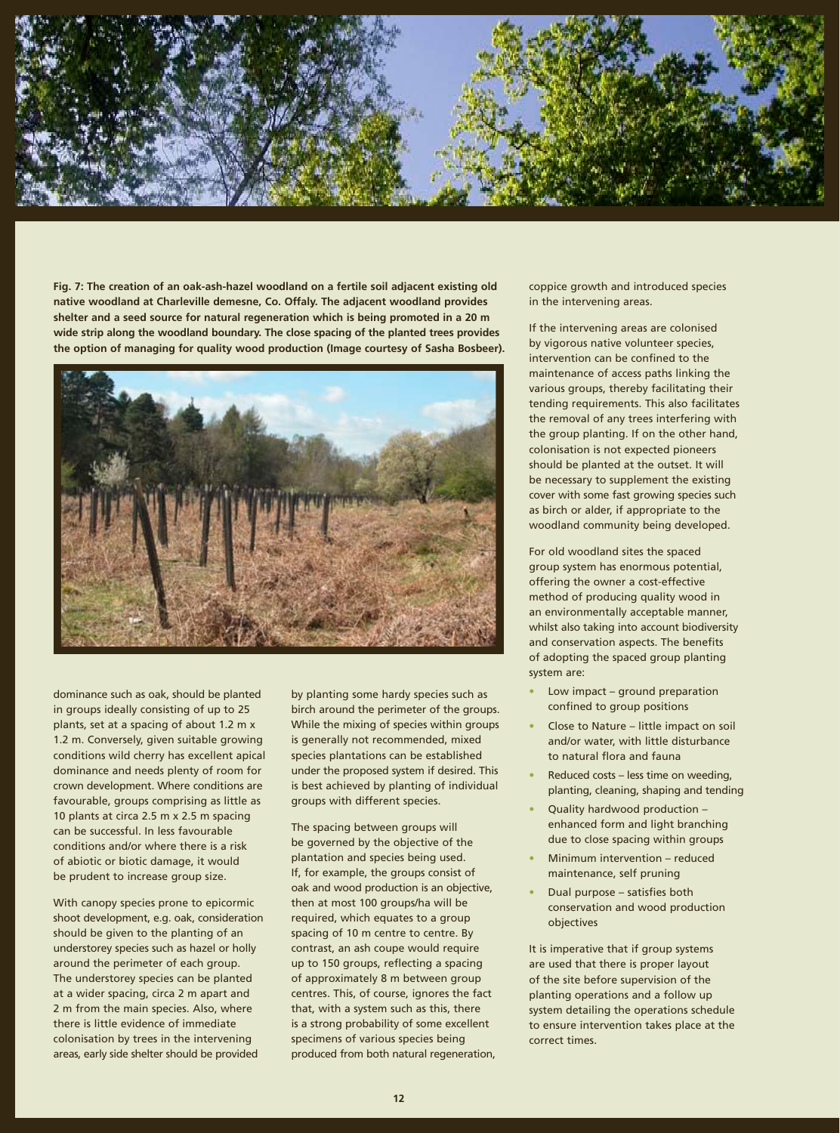

**Fig. 7: The creation of an oak-ash-hazel woodland on a fertile soil adjacent existing old native woodland at Charleville demesne, Co. Offaly. The adjacent woodland provides shelter and a seed source for natural regeneration which is being promoted in a 20 m wide strip along the woodland boundary. The close spacing of the planted trees provides the option of managing for quality wood production (Image courtesy of Sasha Bosbeer).**



dominance such as oak, should be planted in groups ideally consisting of up to 25 plants, set at a spacing of about 1.2 m x 1.2 m. Conversely, given suitable growing conditions wild cherry has excellent apical dominance and needs plenty of room for crown development. Where conditions are favourable, groups comprising as little as 10 plants at circa 2.5 m x 2.5 m spacing can be successful. In less favourable conditions and/or where there is a risk of abiotic or biotic damage, it would be prudent to increase group size.

With canopy species prone to epicormic shoot development, e.g. oak, consideration should be given to the planting of an understorey species such as hazel or holly around the perimeter of each group. The understorey species can be planted at a wider spacing, circa 2 m apart and 2 m from the main species. Also, where there is little evidence of immediate colonisation by trees in the intervening areas, early side shelter should be provided

by planting some hardy species such as birch around the perimeter of the groups. While the mixing of species within groups is generally not recommended, mixed species plantations can be established under the proposed system if desired. This is best achieved by planting of individual groups with different species.

The spacing between groups will be governed by the objective of the plantation and species being used. If, for example, the groups consist of oak and wood production is an objective, then at most 100 groups/ha will be required, which equates to a group spacing of 10 m centre to centre. By contrast, an ash coupe would require up to 150 groups, reflecting a spacing of approximately 8 m between group centres. This, of course, ignores the fact that, with a system such as this, there is a strong probability of some excellent specimens of various species being produced from both natural regeneration, coppice growth and introduced species in the intervening areas.

If the intervening areas are colonised by vigorous native volunteer species, intervention can be confined to the maintenance of access paths linking the various groups, thereby facilitating their tending requirements. This also facilitates the removal of any trees interfering with the group planting. If on the other hand, colonisation is not expected pioneers should be planted at the outset. It will be necessary to supplement the existing cover with some fast growing species such as birch or alder, if appropriate to the woodland community being developed.

For old woodland sites the spaced group system has enormous potential, offering the owner a cost-effective method of producing quality wood in an environmentally acceptable manner, whilst also taking into account biodiversity and conservation aspects. The benefits of adopting the spaced group planting system are:

- **•** Low impact ground preparation confined to group positions
- **•** Close to Nature little impact on soil and/or water, with little disturbance to natural flora and fauna
- **•** Reduced costs less time on weeding, planting, cleaning, shaping and tending
- **•** Quality hardwood production enhanced form and light branching due to close spacing within groups
- **•** Minimum intervention reduced maintenance, self pruning
- **•** Dual purpose satisfies both conservation and wood production objectives

It is imperative that if group systems are used that there is proper layout of the site before supervision of the planting operations and a follow up system detailing the operations schedule to ensure intervention takes place at the correct times.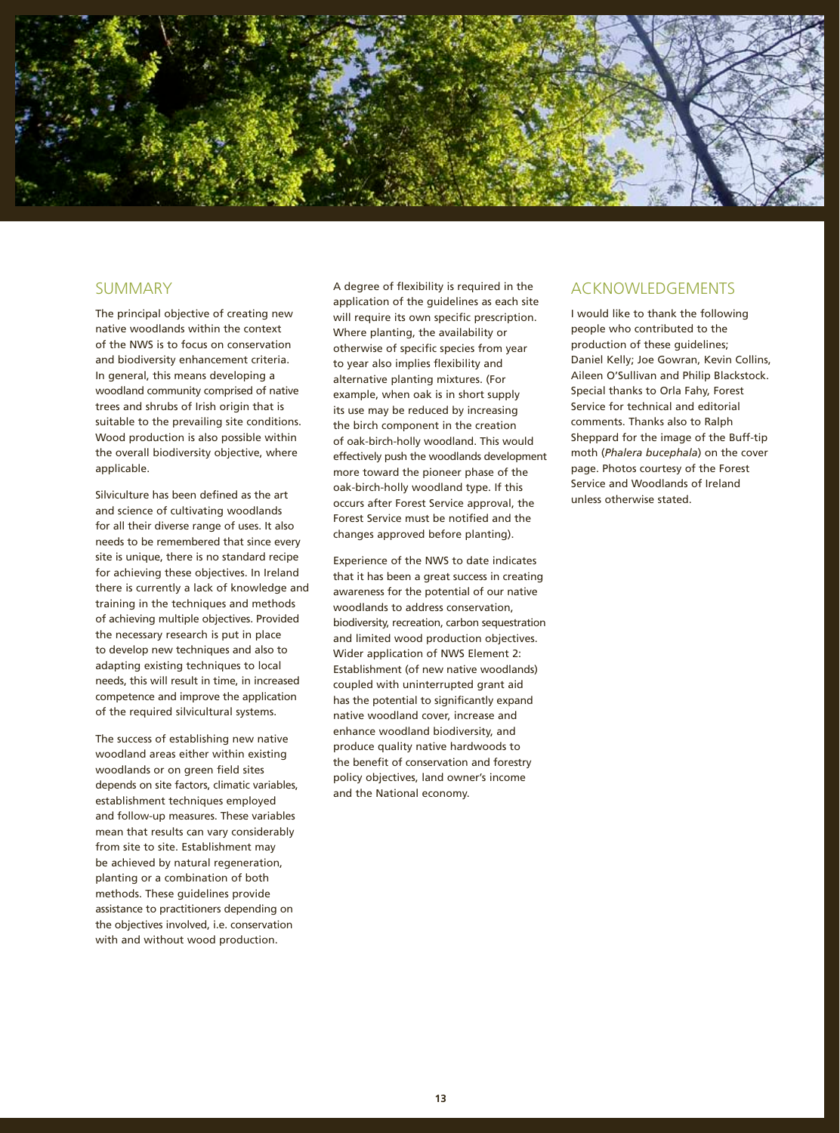

# **SUMMARY**

The principal objective of creating new native woodlands within the context of the NWS is to focus on conservation and biodiversity enhancement criteria. In general, this means developing a woodland community comprised of native trees and shrubs of Irish origin that is suitable to the prevailing site conditions. Wood production is also possible within the overall biodiversity objective, where applicable.

Silviculture has been defined as the art and science of cultivating woodlands for all their diverse range of uses. It also needs to be remembered that since every site is unique, there is no standard recipe for achieving these objectives. In Ireland there is currently a lack of knowledge and training in the techniques and methods of achieving multiple objectives. Provided the necessary research is put in place to develop new techniques and also to adapting existing techniques to local needs, this will result in time, in increased competence and improve the application of the required silvicultural systems.

The success of establishing new native woodland areas either within existing woodlands or on green field sites depends on site factors, climatic variables, establishment techniques employed and follow-up measures. These variables mean that results can vary considerably from site to site. Establishment may be achieved by natural regeneration, planting or a combination of both methods. These guidelines provide assistance to practitioners depending on the objectives involved, i.e. conservation with and without wood production.

A degree of flexibility is required in the application of the guidelines as each site will require its own specific prescription. Where planting, the availability or otherwise of specific species from year to year also implies flexibility and alternative planting mixtures. (For example, when oak is in short supply its use may be reduced by increasing the birch component in the creation of oak-birch-holly woodland. This would effectively push the woodlands development more toward the pioneer phase of the oak-birch-holly woodland type. If this occurs after Forest Service approval, the Forest Service must be notified and the changes approved before planting).

Experience of the NWS to date indicates that it has been a great success in creating awareness for the potential of our native woodlands to address conservation, biodiversity, recreation, carbon sequestration and limited wood production objectives. Wider application of NWS Element 2: Establishment (of new native woodlands) coupled with uninterrupted grant aid has the potential to significantly expand native woodland cover, increase and enhance woodland biodiversity, and produce quality native hardwoods to the benefit of conservation and forestry policy objectives, land owner's income and the National economy.

# ACKNOWLEDGEMENTS

I would like to thank the following people who contributed to the production of these guidelines; Daniel Kelly; Joe Gowran, Kevin Collins, Aileen O'Sullivan and Philip Blackstock. Special thanks to Orla Fahy, Forest Service for technical and editorial comments. Thanks also to Ralph Sheppard for the image of the Buff-tip moth (*Phalera bucephala*) on the cover page. Photos courtesy of the Forest Service and Woodlands of Ireland unless otherwise stated.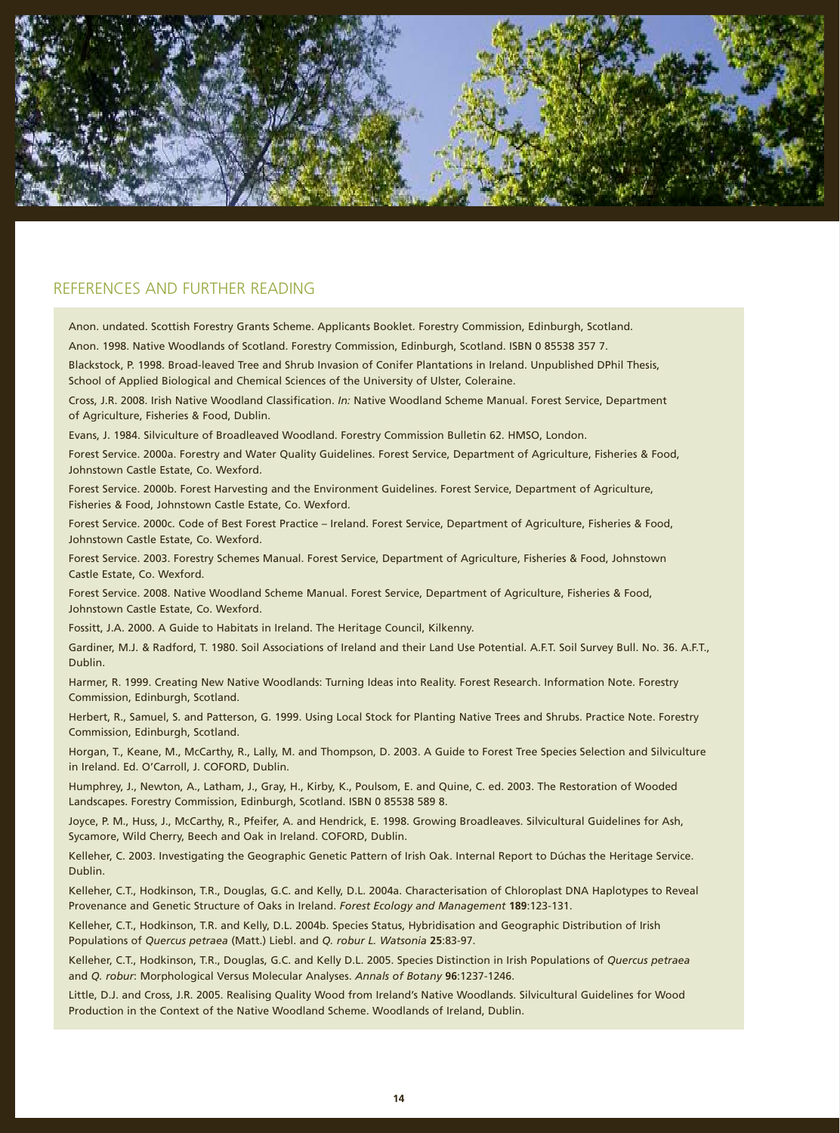

# REFERENCES AND FURTHER READING

Anon. undated. Scottish Forestry Grants Scheme. Applicants Booklet. Forestry Commission, Edinburgh, Scotland.

Anon. 1998. Native Woodlands of Scotland. Forestry Commission, Edinburgh, Scotland. ISBN 0 85538 357 7.

Blackstock, P. 1998. Broad-leaved Tree and Shrub Invasion of Conifer Plantations in Ireland. Unpublished DPhil Thesis, School of Applied Biological and Chemical Sciences of the University of Ulster, Coleraine.

Cross, J.R. 2008. Irish Native Woodland Classification. *In:* Native Woodland Scheme Manual. Forest Service, Department of Agriculture, Fisheries & Food, Dublin.

Evans, J. 1984. Silviculture of Broadleaved Woodland. Forestry Commission Bulletin 62. HMSO, London.

Forest Service. 2000a. Forestry and Water Quality Guidelines. Forest Service, Department of Agriculture, Fisheries & Food, Johnstown Castle Estate, Co. Wexford.

Forest Service. 2000b. Forest Harvesting and the Environment Guidelines. Forest Service, Department of Agriculture, Fisheries & Food, Johnstown Castle Estate, Co. Wexford.

Forest Service. 2000c. Code of Best Forest Practice – Ireland. Forest Service, Department of Agriculture, Fisheries & Food, Johnstown Castle Estate, Co. Wexford.

Forest Service. 2003. Forestry Schemes Manual. Forest Service, Department of Agriculture, Fisheries & Food, Johnstown Castle Estate, Co. Wexford.

Forest Service. 2008. Native Woodland Scheme Manual. Forest Service, Department of Agriculture, Fisheries & Food, Johnstown Castle Estate, Co. Wexford.

Fossitt, J.A. 2000. A Guide to Habitats in Ireland. The Heritage Council, Kilkenny.

Gardiner, M.J. & Radford, T. 1980. Soil Associations of Ireland and their Land Use Potential. A.F.T. Soil Survey Bull. No. 36. A.F.T., Dublin.

Harmer, R. 1999. Creating New Native Woodlands: Turning Ideas into Reality. Forest Research. Information Note. Forestry Commission, Edinburgh, Scotland.

Herbert, R., Samuel, S. and Patterson, G. 1999. Using Local Stock for Planting Native Trees and Shrubs. Practice Note. Forestry Commission, Edinburgh, Scotland.

Horgan, T., Keane, M., McCarthy, R., Lally, M. and Thompson, D. 2003. A Guide to Forest Tree Species Selection and Silviculture in Ireland. Ed. O'Carroll, J. COFORD, Dublin.

Humphrey, J., Newton, A., Latham, J., Gray, H., Kirby, K., Poulsom, E. and Quine, C. ed. 2003. The Restoration of Wooded Landscapes. Forestry Commission, Edinburgh, Scotland. ISBN 0 85538 589 8.

Joyce, P. M., Huss, J., McCarthy, R., Pfeifer, A. and Hendrick, E. 1998. Growing Broadleaves. Silvicultural Guidelines for Ash, Sycamore, Wild Cherry, Beech and Oak in Ireland. COFORD, Dublin.

Kelleher, C. 2003. Investigating the Geographic Genetic Pattern of Irish Oak. Internal Report to Dúchas the Heritage Service. Dublin.

Kelleher, C.T., Hodkinson, T.R., Douglas, G.C. and Kelly, D.L. 2004a. Characterisation of Chloroplast DNA Haplotypes to Reveal Provenance and Genetic Structure of Oaks in Ireland. *Forest Ecology and Management* **189**:123-131.

Kelleher, C.T., Hodkinson, T.R. and Kelly, D.L. 2004b. Species Status, Hybridisation and Geographic Distribution of Irish Populations of *Quercus petraea* (Matt.) Liebl. and *Q. robur L. Watsonia* **25**:83-97.

Kelleher, C.T., Hodkinson, T.R., Douglas, G.C. and Kelly D.L. 2005. Species Distinction in Irish Populations of *Quercus petraea*  and *Q. robur*: Morphological Versus Molecular Analyses. *Annals of Botany* **96**:1237-1246.

Little, D.J. and Cross, J.R. 2005. Realising Quality Wood from Ireland's Native Woodlands. Silvicultural Guidelines for Wood Production in the Context of the Native Woodland Scheme. Woodlands of Ireland, Dublin.